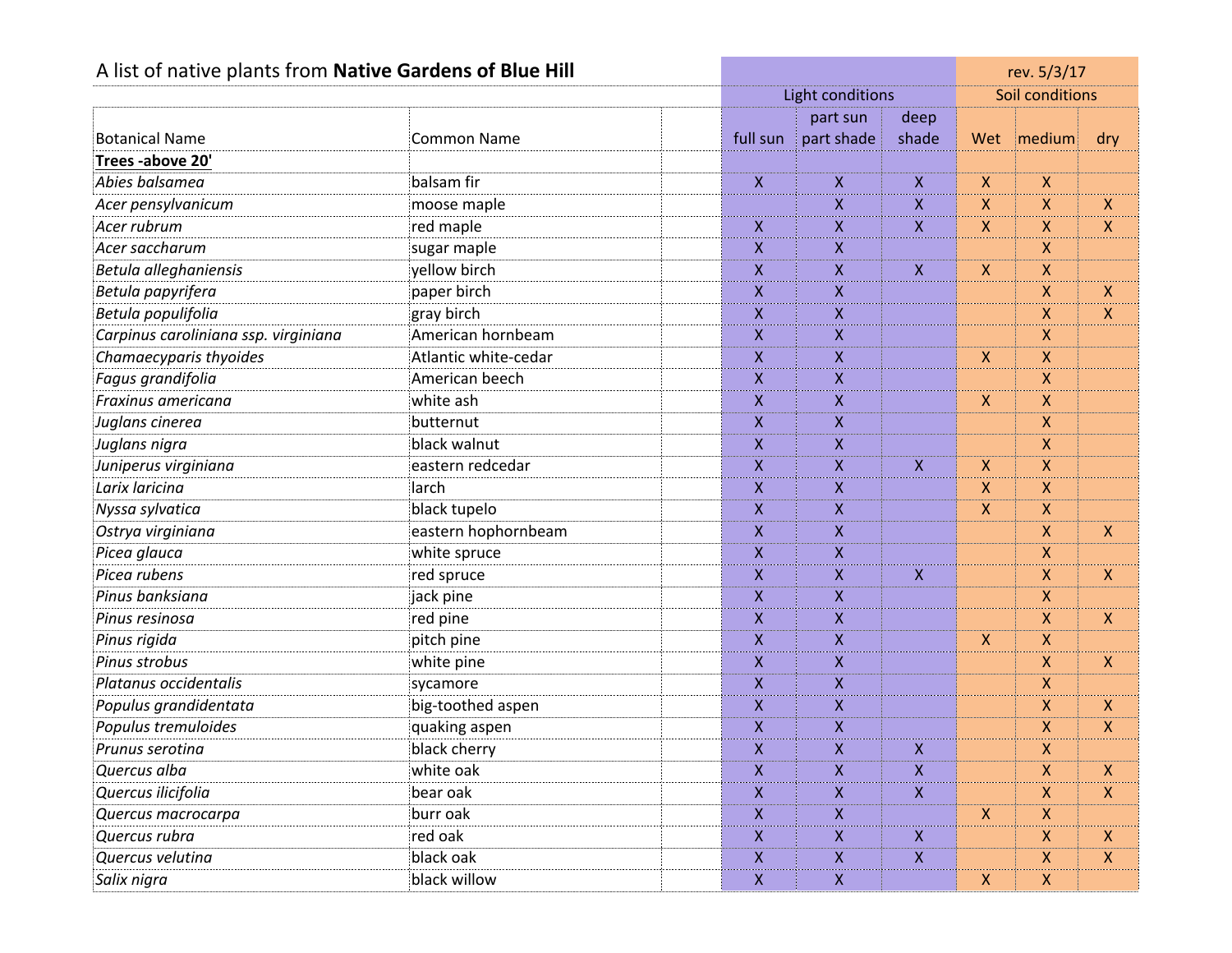| A list of native plants from Native Gardens of Blue Hill |                      |                  |                         |                           |              | rev. 5/3/17        |                           |
|----------------------------------------------------------|----------------------|------------------|-------------------------|---------------------------|--------------|--------------------|---------------------------|
|                                                          |                      |                  | Light conditions        | Soil conditions           |              |                    |                           |
|                                                          |                      |                  | part sun                | deep                      |              |                    |                           |
| <b>Botanical Name</b>                                    | <b>Common Name</b>   | full sun         | part shade              | shade                     | Wet          | <b>Imedium</b>     | dry                       |
| Trees-above 20'                                          |                      |                  |                         |                           |              |                    |                           |
| Abies balsamea                                           | balsam fir           | $\mathsf{X}$     | X                       | X                         | $\mathsf{X}$ | $\mathsf{X}$       |                           |
| Acer pensylvanicum                                       | moose maple          |                  | $\boldsymbol{X}$        | X                         | X            | $\mathsf{X}$       | $\mathsf{X}$              |
| Acer rubrum                                              | red maple            | $\mathsf{X}$     | $\mathsf{X}$            | X.                        | $\mathsf{X}$ | $\pmb{\mathsf{X}}$ | $\mathsf{X}$              |
| Acer saccharum                                           | sugar maple          | $\mathsf{X}$     | $\mathsf{X}$            |                           |              | X                  |                           |
| Betula alleghaniensis                                    | yellow birch         | X                | $\boldsymbol{X}$        | X.                        | X            | $\mathsf{X}$       |                           |
| Betula papyrifera                                        | paper birch          | $\mathsf{X}$     | $\boldsymbol{X}$        |                           |              | $\pmb{\times}$     | X                         |
| Betula populifolia                                       | gray birch           | $\mathsf{X}$     | $\mathsf{X}$            |                           |              | $\mathsf{X}$       | $\pmb{\mathsf{X}}$        |
| Carpinus caroliniana ssp. virginiana                     | American hornbeam    | X                | $\boldsymbol{X}$        |                           |              | $\boldsymbol{X}$   |                           |
| Chamaecyparis thyoides                                   | Atlantic white-cedar | $\mathsf{X}$     | $\pmb{\mathsf{X}}$      |                           | $\mathsf{X}$ | $\pmb{\times}$     |                           |
| Fagus grandifolia                                        | American beech       | $\mathsf{x}$     | $\mathsf{X}$            |                           |              | $\mathsf{X}$       |                           |
| Fraxinus americana                                       | white ash            | X                | $\boldsymbol{X}$        |                           | X            | $\pmb{\times}$     |                           |
| Juglans cinerea                                          | butternut            | $\mathsf{X}$     | $\pmb{\mathsf{X}}$      |                           |              | $\pmb{\times}$     |                           |
| Juglans nigra                                            | black walnut         | $\mathsf{X}$     | $\mathsf{X}$            |                           |              | $\mathsf{X}$       |                           |
| Juniperus virginiana                                     | eastern redcedar     | X                | $\boldsymbol{X}$        | X.                        | X            | $\boldsymbol{X}$   |                           |
| Larix laricina                                           | larch                | $\mathsf{X}$     | $\pmb{\mathsf{X}}$      |                           | $\mathsf{X}$ | $\pmb{\times}$     |                           |
| Nyssa sylvatica                                          | black tupelo         | $\mathsf{x}$     | $\mathsf{X}$            |                           | $\mathsf{X}$ | $\mathsf{X}$       |                           |
| Ostrya virginiana                                        | eastern hophornbeam  | X                | $\pmb{\mathsf{X}}$      |                           |              | $\mathsf{X}$       | $\boldsymbol{\mathsf{X}}$ |
| Picea glauca                                             | white spruce         | $\mathsf{X}$     | $\boldsymbol{X}$        |                           |              | $\pmb{\times}$     |                           |
| Picea rubens                                             | red spruce           | $\mathsf{x}$     | $\mathsf{X}$            | X                         |              | $\mathsf{X}$       | $\pmb{\mathsf{X}}$        |
| Pinus banksiana                                          | jack pine            | X                | $\pmb{\mathsf{X}}$      |                           |              | $\pmb{\times}$     |                           |
| Pinus resinosa                                           | red pine             | $\mathsf{X}$     | $\pmb{\mathsf{X}}$      |                           |              | $\pmb{\times}$     | $\mathsf{X}$              |
| Pinus rigida                                             | pitch pine           | $\mathsf{x}$     | $\mathsf{X}$            |                           | $\mathsf{X}$ | $\mathsf{X}$       |                           |
| Pinus strobus                                            | white pine           | X                | $\boldsymbol{X}$        |                           |              | $\mathsf{X}$       | $\boldsymbol{\mathsf{X}}$ |
| Platanus occidentalis                                    | sycamore             | $\mathsf{X}$     | $\pmb{\mathsf{X}}$      |                           |              | $\mathsf{X}$       |                           |
| Populus grandidentata                                    | big-toothed aspen    | $\mathsf X$      | $\pmb{\mathsf{X}}$      |                           |              | $\mathsf{X}$       | $\mathsf{X}$              |
| Populus tremuloides                                      | quaking aspen        | $\boldsymbol{X}$ | $\pmb{\mathsf{X}}$      |                           |              | $\mathsf{X}$       | $\mathsf{X}$              |
| Prunus serotina                                          | black cherry         | X                | X                       | X                         |              | X                  |                           |
| Quercus alba                                             | white oak            | $\overline{x}$   | $\overline{\mathsf{x}}$ | $\overline{x}$            |              | $\overline{x}$     | $\mathsf{X}$              |
| Quercus ilicifolia                                       | bear oak             | $\mathsf{X}$     | $\mathsf{X}$            | $\mathsf{X}$              |              | $\pmb{\mathsf{X}}$ | $\mathsf{X}$              |
| Quercus macrocarpa                                       | burr oak             | $\mathsf{X}$     | $\mathsf{X}$            |                           | X            | $\mathsf{X}$       |                           |
| Quercus rubra                                            | red oak              | $\mathsf{X}$     | $\mathsf{X}$            | X                         |              | $\pmb{\times}$     | $\mathsf{X}$              |
| Quercus velutina                                         | black oak            | $\boldsymbol{X}$ | $\mathsf{X}$            | $\boldsymbol{\mathsf{X}}$ |              | $\pmb{\mathsf{X}}$ | $\mathsf{X}$              |
| Salix nigra                                              | black willow         | $\mathsf{X}^-$   | $\mathsf{X}$            |                           | $\mathsf{X}$ | $\mathsf{X}$       |                           |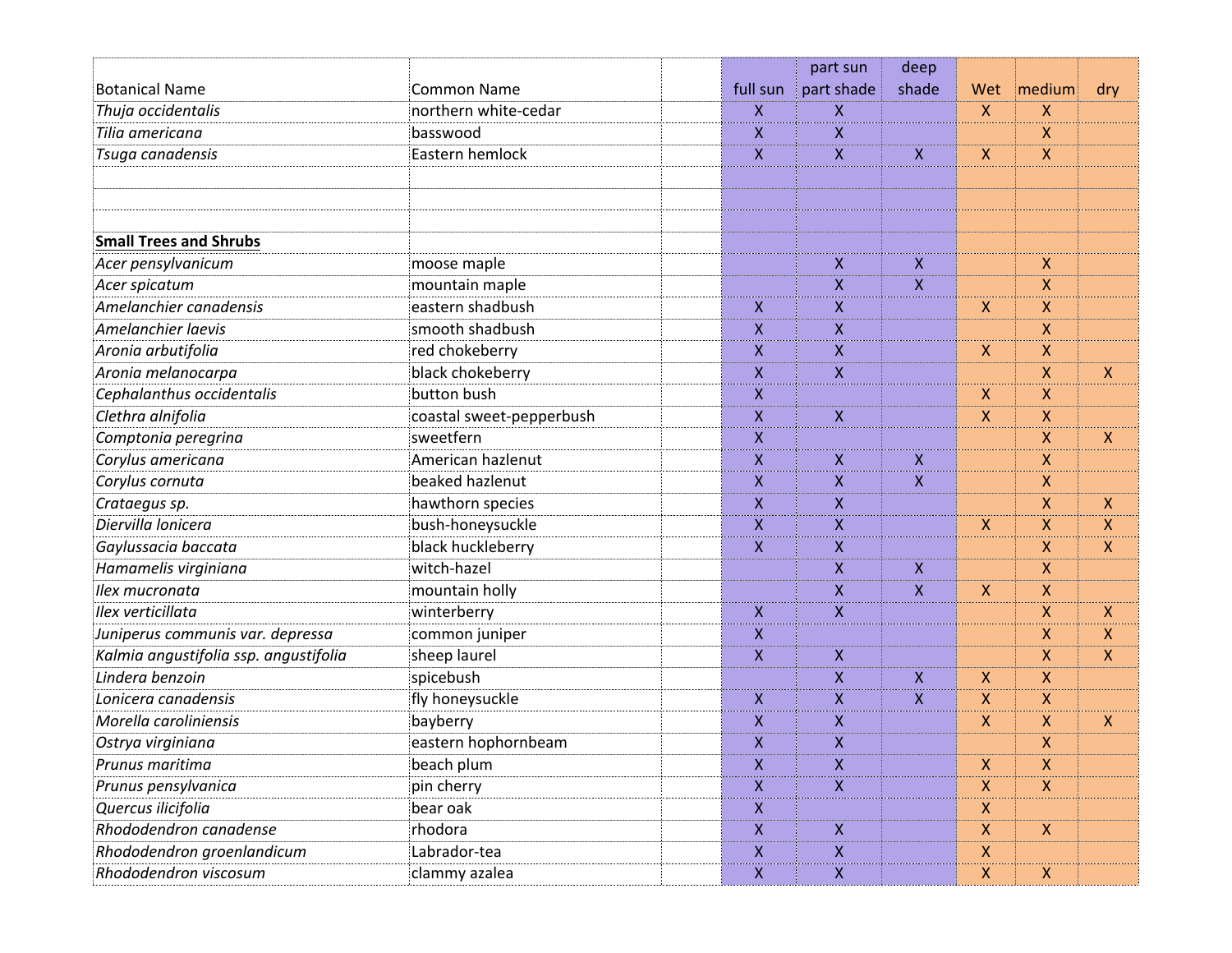|                                       |                          |                           | part sun   | deep         |                    |                           |                           |
|---------------------------------------|--------------------------|---------------------------|------------|--------------|--------------------|---------------------------|---------------------------|
| <b>Botanical Name</b>                 | <b>Common Name</b>       | full sun                  | part shade | shade        | Wet                | medium                    | dry                       |
| Thuja occidentalis                    | northern white-cedar     | X                         | X          |              | $\mathsf{X}$       | X                         |                           |
| Tilia americana                       | basswood                 | X                         | X          |              |                    | X                         |                           |
| Tsuga canadensis                      | Eastern hemlock          | X                         | X          | X            | $\mathsf{X}$       | X                         |                           |
|                                       |                          |                           |            |              |                    |                           |                           |
|                                       |                          |                           |            |              |                    |                           |                           |
|                                       |                          |                           |            |              |                    |                           |                           |
| <b>Small Trees and Shrubs</b>         |                          |                           |            |              |                    |                           |                           |
| Acer pensylvanicum                    | moose maple              |                           | X          | X            |                    | X                         |                           |
| Acer spicatum                         | mountain maple           |                           | Χ          | X            |                    | X                         |                           |
| Amelanchier canadensis                | eastern shadbush         | X                         | X          |              | $\mathsf{X}$       | X                         |                           |
| Amelanchier laevis                    | smooth shadbush          | X                         | X          |              |                    | X                         |                           |
| Aronia arbutifolia                    | red chokeberry           | X.                        | X          |              | $\mathsf{X}$       | X                         |                           |
| Aronia melanocarpa                    | black chokeberry         | X                         | X          |              |                    | X                         | $\mathsf{X}$              |
| Cephalanthus occidentalis             | button bush              | X                         |            |              | X                  | X                         |                           |
| Clethra alnifolia                     | coastal sweet-pepperbush | X                         | X          |              | X.                 | X                         |                           |
| Comptonia peregrina                   | sweetfern                | X                         |            |              |                    | X                         | $\mathsf{X}$              |
| Corylus americana                     | American hazlenut        | X                         | X          | $\mathsf{X}$ |                    | X                         |                           |
| Corylus cornuta                       | beaked hazlenut          | X                         | X          | X            |                    | X                         |                           |
| Crataegus sp.                         | hawthorn species         | X                         | X          |              |                    | X                         | $\boldsymbol{X}$          |
| Diervilla lonicera                    | bush-honeysuckle         | X                         | X          |              | X                  | X                         | $\boldsymbol{X}$          |
| Gaylussacia baccata                   | black huckleberry        | X                         | Χ          |              |                    | X                         | $\boldsymbol{\mathsf{X}}$ |
| Hamamelis virginiana                  | witch-hazel              |                           | X          | $\mathsf X$  |                    | X                         |                           |
| Ilex mucronata                        | mountain holly           |                           | Χ          | X            | $\pmb{\mathsf{X}}$ | X                         |                           |
| Ilex verticillata                     | winterberry              | X                         | X          |              |                    | X                         | $\mathsf{X}$              |
| Juniperus communis var. depressa      | common juniper           | X                         |            |              |                    | X                         | $\boldsymbol{X}$          |
| Kalmia angustifolia ssp. angustifolia | sheep laurel             | $\pmb{\mathsf{X}}$        | X          |              |                    | X                         | $\mathsf{X}$              |
| Lindera benzoin                       | spicebush                |                           | X          | X            | X.                 | X                         |                           |
| Lonicera canadensis                   | fly honeysuckle          | X                         | X          | X            | X                  | X                         |                           |
| Morella caroliniensis                 | bayberry                 | X                         | X          |              | X                  | Χ                         | $\boldsymbol{\mathsf{X}}$ |
| Ostrya virginiana                     | eastern hophornbeam      | X                         | X          |              |                    | X                         |                           |
| Prunus maritima                       | beach plum               | $\mathsf{X}$              | X          |              | $\mathsf{X}$       | X                         |                           |
| Prunus pensylvanica                   | pin cherry               | X.                        | X          |              | $\mathsf{X}$       | $\mathsf{X}$              |                           |
| Quercus ilicifolia                    | bear oak                 | $\mathsf{X}$              |            |              | $\mathsf{X}$       |                           |                           |
| Rhododendron canadense                | rhodora                  | $\mathsf{X}$              | X          |              | $\mathsf{X}^-$     | $\mathsf{X}$              |                           |
| Rhododendron groenlandicum            | Labrador-tea             | $\boldsymbol{\mathsf{X}}$ | X          |              | $\mathsf{X}$       |                           |                           |
| Rhododendron viscosum                 | clammy azalea            | $\boldsymbol{\mathsf{X}}$ | Χ          |              | $\mathsf{X}$       | $\boldsymbol{\mathsf{X}}$ |                           |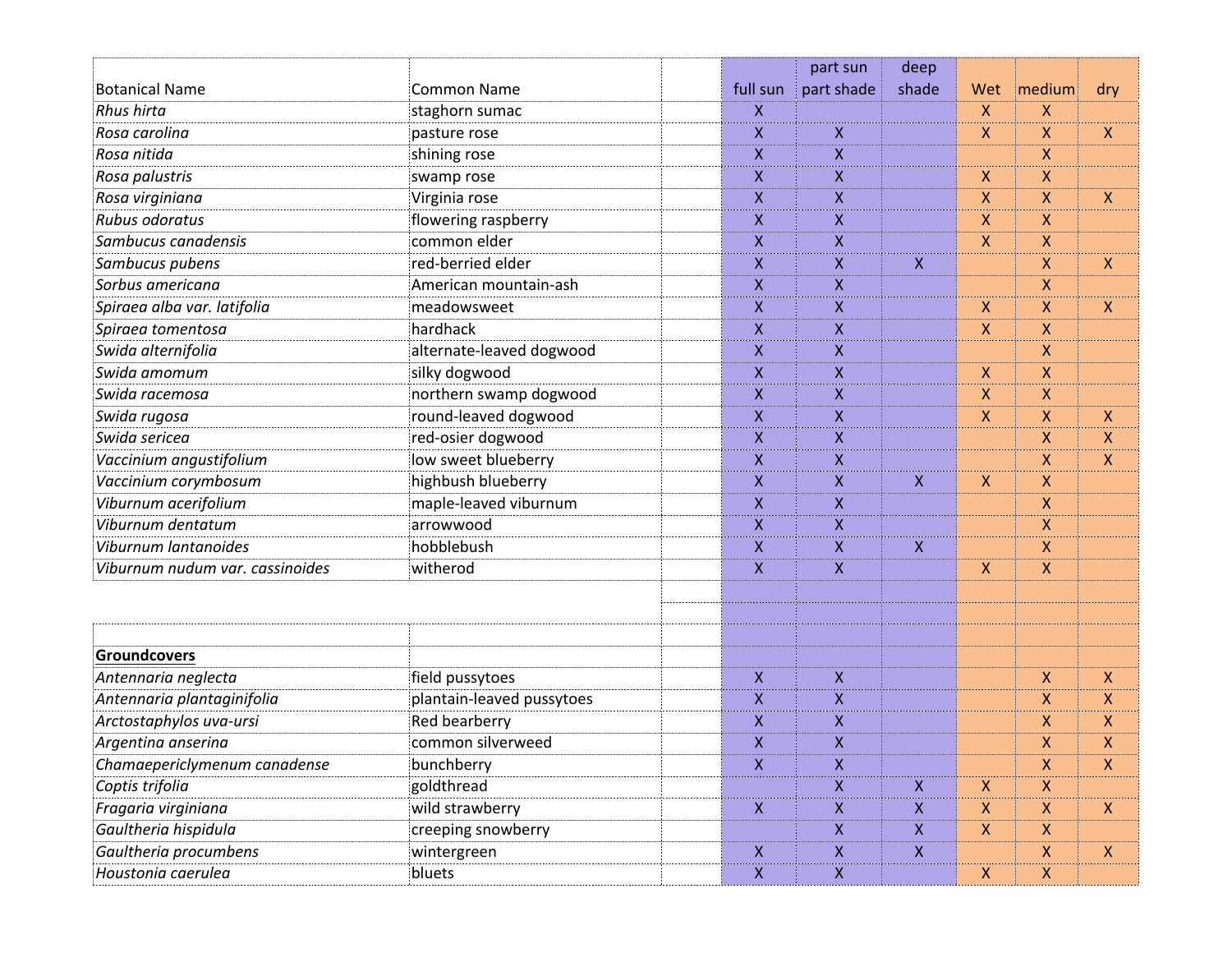|                                 |                           |                    | part sun           | deep                      |              |                           |                    |
|---------------------------------|---------------------------|--------------------|--------------------|---------------------------|--------------|---------------------------|--------------------|
| <b>Botanical Name</b>           | <b>Common Name</b>        | full sun           | part shade         | shade                     | Wet          | medium                    | dry                |
| <b>Rhus hirta</b>               | staghorn sumac            | X                  |                    |                           | X            | X                         |                    |
| Rosa carolina                   | pasture rose              | X                  | X                  |                           | X            | $\mathsf{X}$              | X                  |
| Rosa nitida                     | shining rose              | X                  | X                  |                           |              | $\boldsymbol{\mathsf{X}}$ |                    |
| Rosa palustris                  | swamp rose                | $\mathsf{X}$       | $\pmb{\mathsf{X}}$ |                           | $\mathsf{X}$ | $\mathsf{X}$              |                    |
| Rosa virginiana                 | Virginia rose             | X                  | X                  |                           | X            | $\mathsf{X}$              | $\boldsymbol{X}$   |
| <b>Rubus odoratus</b>           | flowering raspberry       | X                  | X                  |                           | X            | $\mathsf{X}$              |                    |
| Sambucus canadensis             | common elder              | $\mathsf{X}$       | X                  |                           | $\mathsf{X}$ | $\mathsf{X}$              |                    |
| Sambucus pubens                 | red-berried elder         | $\mathsf{X}$       | $\pmb{\mathsf{X}}$ | X                         |              | $\pmb{\times}$            | $\mathsf{X}$       |
| Sorbus americana                | American mountain-ash     | X                  | X                  |                           |              | $\boldsymbol{\mathsf{X}}$ |                    |
| Spiraea alba var. latifolia     | meadowsweet               | X                  | $\pmb{\mathsf{X}}$ |                           | $\mathsf{X}$ | $\mathsf{X}$              | $\mathsf{X}$       |
| Spiraea tomentosa               | hardhack                  | $\pmb{\mathsf{X}}$ | $\pmb{\mathsf{X}}$ |                           | X            | $\mathsf{X}$              |                    |
| Swida alternifolia              | alternate-leaved dogwood  | $\mathsf{X}$       | X                  |                           |              | $\boldsymbol{\mathsf{X}}$ |                    |
| Swida amomum                    | silky dogwood             | X                  | X                  |                           | $\mathsf{X}$ | $\mathsf{X}$              |                    |
| Swida racemosa                  | northern swamp dogwood    | X                  | X                  |                           | X            | $\mathsf{X}$              |                    |
| Swida rugosa                    | round-leaved dogwood      | X                  | X                  |                           | $\mathsf{X}$ | $\mathsf{X}$              | X                  |
| Swida sericea                   | red-osier dogwood         | X                  | $\pmb{\mathsf{X}}$ |                           |              | $\mathsf{X}$              | $\mathsf{X}$       |
| Vaccinium angustifolium         | low sweet blueberry       | X                  | $\pmb{\mathsf{X}}$ |                           |              | $\mathsf{X}$              | $\boldsymbol{X}$   |
| Vaccinium corymbosum            | highbush blueberry        | $\mathsf{X}$       | X                  | X.                        | X.           | $\mathsf{X}$              |                    |
| Viburnum acerifolium            | maple-leaved viburnum     | $\pmb{\mathsf{X}}$ | $\pmb{\mathsf{X}}$ |                           |              | $\pmb{\times}$            |                    |
| Viburnum dentatum               | arrowwood                 | $\pmb{\mathsf{X}}$ | $\pmb{\mathsf{X}}$ |                           |              | $\pmb{\times}$            |                    |
| Viburnum lantanoides            | hobblebush                | X                  | X                  | X                         |              | $\mathsf{X}$              |                    |
| Viburnum nudum var. cassinoides | witherod                  | $\mathsf{X}$       | X                  |                           | $\mathsf{X}$ | $\mathsf{X}$              |                    |
|                                 |                           |                    |                    |                           |              |                           |                    |
|                                 |                           |                    |                    |                           |              |                           |                    |
| Groundcovers                    |                           |                    |                    |                           |              |                           |                    |
| Antennaria neglecta             | field pussytoes           | X                  | X                  |                           |              | $\mathsf{X}$              | X                  |
| Antennaria plantaginifolia      | plantain-leaved pussytoes | $\pmb{\mathsf{X}}$ | X                  |                           |              | $\mathsf{X}$              | $\pmb{\mathsf{X}}$ |
| Arctostaphylos uva-ursi         | Red bearberry             | X                  | X                  |                           |              | $\pmb{\mathsf{X}}$        | $\mathsf{X}$       |
| Argentina anserina              | common silverweed         | X                  | X                  |                           |              | $\mathsf{X}$              | X                  |
| Chamaepericlymenum canadense    | bunchberry                | $\mathsf{X}$       | X                  |                           |              | $\pmb{\times}$            | $\mathsf{X}$       |
| Coptis trifolia                 | goldthread                |                    | $\mathsf{X}$       | $\mathsf{X}$              | $\mathsf{X}$ | $\boldsymbol{X}$          |                    |
| Fragaria virginiana             | wild strawberry           | $\mathsf{X}$       | $\mathsf{X}$       | $\mathsf{X}$              | $\mathsf{X}$ | $\pmb{\mathsf{X}}$        | $\mathsf{X}$       |
| Gaultheria hispidula            | creeping snowberry        |                    | $\mathsf{X}$       | $\mathsf{X}$              | $\mathsf{X}$ | $\boldsymbol{\mathsf{X}}$ |                    |
| Gaultheria procumbens           | wintergreen               | $\mathsf{X}$       | $\mathsf X$        | $\boldsymbol{\mathsf{X}}$ |              | $\boldsymbol{\mathsf{X}}$ | $\boldsymbol{X}$   |
| Houstonia caerulea              | bluets                    | $\mathsf{X}$       | $\mathsf{X}$       |                           | $\mathsf{X}$ | $\mathsf{X}$              |                    |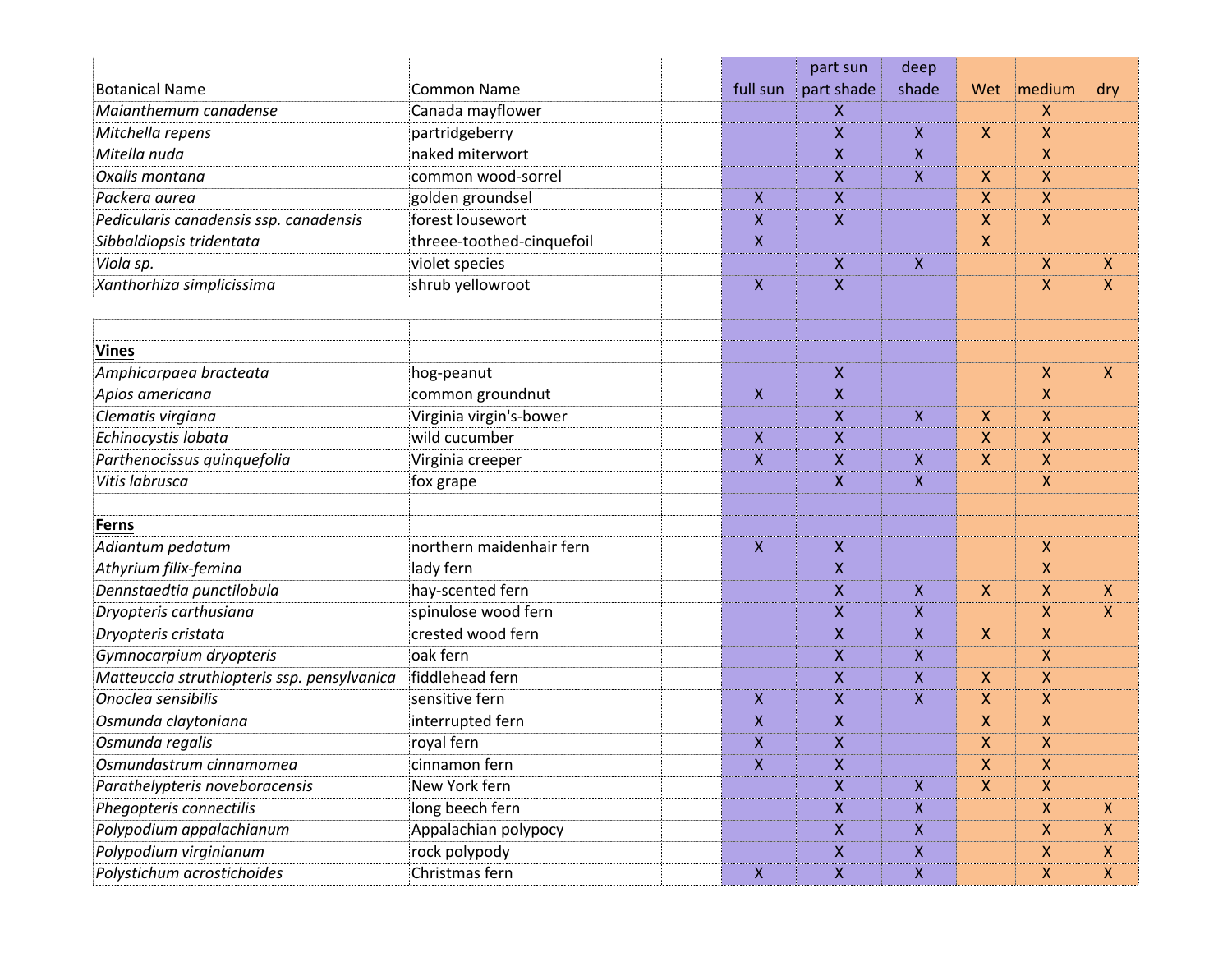|                                             |                           |                    | part sun           | deep         |                  |              |                           |
|---------------------------------------------|---------------------------|--------------------|--------------------|--------------|------------------|--------------|---------------------------|
| <b>Botanical Name</b>                       | <b>Common Name</b>        | full sun           | part shade         | shade        | Wet              | medium       | dry                       |
| Maianthemum canadense                       | Canada mayflower          |                    | Χ                  |              |                  | X            |                           |
| Mitchella repens                            | partridgeberry            |                    | X                  | X            | $\boldsymbol{X}$ | X            |                           |
| Mitella nuda                                | naked miterwort           |                    | X                  | X            |                  | X            |                           |
| Oxalis montana                              | common wood-sorrel        |                    | X                  | X            | $\mathsf{X}$     | X            |                           |
| Packera aurea                               | golden groundsel          | X                  | X                  |              | X                | X            |                           |
| Pedicularis canadensis ssp. canadensis      | forest lousewort          | $\pmb{\mathsf{X}}$ | X                  |              | X                | X            |                           |
| Sibbaldiopsis tridentata                    | threee-toothed-cinquefoil | X                  |                    |              | X                |              |                           |
| Viola sp.                                   | violet species            |                    | X                  | X            |                  | X            | $\boldsymbol{\mathsf{X}}$ |
| Xanthorhiza simplicissima                   | shrub yellowroot          | $\pmb{\mathsf{X}}$ | $\pmb{\mathsf{X}}$ |              |                  | X            | $\boldsymbol{\mathsf{X}}$ |
|                                             |                           |                    |                    |              |                  |              |                           |
|                                             |                           |                    |                    |              |                  |              |                           |
| <b>Vines</b>                                |                           |                    |                    |              |                  |              |                           |
| Amphicarpaea bracteata                      | hog-peanut                |                    | X                  |              |                  | X            | $\boldsymbol{X}$          |
| Apios americana                             | common groundnut          | X                  | X                  |              |                  | X            |                           |
| Clematis virgiana                           | Virginia virgin's-bower   |                    | X                  | X            | X.               | X            |                           |
| Echinocystis lobata                         | wild cucumber             | X                  | X                  |              | X                | X            |                           |
| Parthenocissus quinquefolia                 | Virginia creeper          | $\pmb{\mathsf{X}}$ | X                  | X            | X                | X            |                           |
| Vitis labrusca                              | fox grape                 |                    | X                  | X            |                  | X            |                           |
|                                             |                           |                    |                    |              |                  |              |                           |
| Ferns                                       |                           |                    |                    |              |                  |              |                           |
| Adiantum pedatum                            | northern maidenhair fern  | $\mathsf{X}$       | $\pmb{\mathsf{X}}$ |              |                  | X            |                           |
| Athyrium filix-femina                       | lady fern                 |                    | X                  |              |                  | X            |                           |
| Dennstaedtia punctilobula                   | hay-scented fern          |                    | X                  | X            | $\boldsymbol{X}$ | X            | $\boldsymbol{\mathsf{X}}$ |
| Dryopteris carthusiana                      | spinulose wood fern       |                    | X                  | X            |                  | X            | $\boldsymbol{\mathsf{X}}$ |
| Dryopteris cristata                         | crested wood fern         |                    | X                  | X            | $\mathsf{X}$     | X            |                           |
| Gymnocarpium dryopteris                     | oak fern                  |                    | X                  | X            |                  | Χ            |                           |
| Matteuccia struthiopteris ssp. pensylvanica | fiddlehead fern           |                    | X                  | X            | X.               | X            |                           |
| Onoclea sensibilis                          | sensitive fern            | X                  | X                  | X            | X                | X            |                           |
| Osmunda claytoniana                         | interrupted fern          | Χ                  | Χ                  |              | X                | Χ            |                           |
| Osmunda regalis                             | royal fern                | $\pmb{\mathsf{X}}$ | $\pmb{\mathsf{X}}$ |              | X                | X            |                           |
| Osmundastrum cinnamomea                     | cinnamon fern             | $\mathsf{X}$       | Χ                  |              | $\mathsf{X}$     | X            |                           |
| Parathelypteris noveboracensis              | New York fern             |                    | X                  | X            | $\mathsf{X}$     | $\mathsf{X}$ |                           |
| Phegopteris connectilis                     | long beech fern           |                    | X                  | X            |                  | X            | X                         |
| Polypodium appalachianum                    | Appalachian polypocy      |                    | Χ                  | $\mathsf{X}$ |                  | $\mathsf X$  | $\boldsymbol{X}$          |
| Polypodium virginianum                      | rock polypody             |                    | X                  | $\mathsf{X}$ |                  | $\mathsf{X}$ | $\boldsymbol{X}$          |
| Polystichum acrostichoides                  | Christmas fern            | $\mathsf{X}$       | X                  | X            |                  | $\mathsf{X}$ | $\pmb{\times}$            |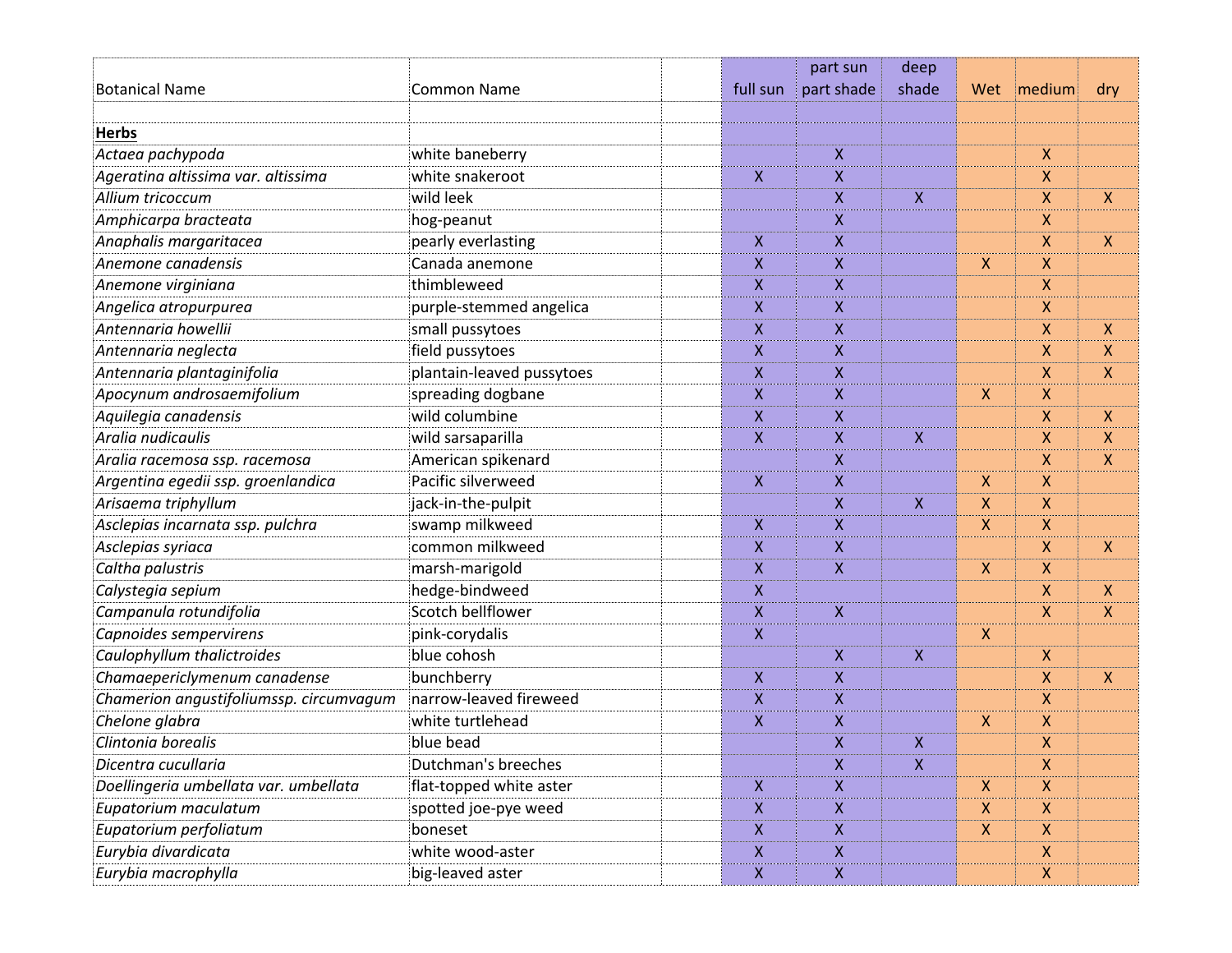|                                         |                           |                           | part sun                  | deep         |                    |              |                    |
|-----------------------------------------|---------------------------|---------------------------|---------------------------|--------------|--------------------|--------------|--------------------|
| <b>Botanical Name</b>                   | <b>Common Name</b>        | full sun                  | part shade                | shade        | Wet                | medium       | dry                |
|                                         |                           |                           |                           |              |                    |              |                    |
| <b>Herbs</b>                            |                           |                           |                           |              |                    |              |                    |
| Actaea pachypoda                        | white baneberry           |                           | X                         |              |                    | X            |                    |
| Ageratina altissima var. altissima      | white snakeroot           | $\boldsymbol{\mathsf{X}}$ | $\boldsymbol{X}$          |              |                    | X            |                    |
| Allium tricoccum                        | wild leek                 |                           | X                         | $\mathsf{X}$ |                    | X            | X                  |
| Amphicarpa bracteata                    | hog-peanut                |                           | X                         |              |                    | X            |                    |
| Anaphalis margaritacea                  | pearly everlasting        | $\pmb{\mathsf{X}}$        | X                         |              |                    | X            | $\mathsf{X}$       |
| Anemone canadensis                      | Canada anemone            | $\pmb{\mathsf{X}}$        | $\boldsymbol{\mathsf{X}}$ |              | $\boldsymbol{X}$   | X            |                    |
| Anemone virginiana                      | thimbleweed               | X                         | X                         |              |                    | Χ            |                    |
| Angelica atropurpurea                   | purple-stemmed angelica   | $\pmb{\mathsf{X}}$        | $\mathsf{X}$              |              |                    | X            |                    |
| Antennaria howellii                     | small pussytoes           | $\pmb{\mathsf{X}}$        | $\mathsf{X}$              |              |                    | X            | X                  |
| Antennaria neglecta                     | field pussytoes           | X                         | X                         |              |                    | X            | X                  |
| Antennaria plantaginifolia              | plantain-leaved pussytoes | $\mathsf{X}$              | $\mathsf{X}$              |              |                    | X            | $\pmb{\mathsf{X}}$ |
| Apocynum androsaemifolium               | spreading dogbane         | $\boldsymbol{\mathsf{X}}$ | $\boldsymbol{X}$          |              | $\boldsymbol{X}$   | X            |                    |
| Aquilegia canadensis                    | wild columbine            | X                         | X                         |              |                    | X            | X                  |
| Aralia nudicaulis                       | wild sarsaparilla         | $\mathsf{X}$              | $\mathsf{X}$              | $\mathsf{X}$ |                    | X            | $\pmb{\mathsf{X}}$ |
| Aralia racemosa ssp. racemosa           | American spikenard        |                           | $\boldsymbol{\mathsf{X}}$ |              |                    | X            | X                  |
| Argentina egedii ssp. groenlandica      | Pacific silverweed        | X                         | X                         |              | $\mathsf{X}$       | X            |                    |
| Arisaema triphyllum                     | jack-in-the-pulpit        |                           | $\mathsf{X}$              | $\mathsf{X}$ | $\mathsf{X}$       | X            |                    |
| Asclepias incarnata ssp. pulchra        | swamp milkweed            | $\boldsymbol{\mathsf{X}}$ | $\boldsymbol{\mathsf{X}}$ |              | $\boldsymbol{X}$   | X            |                    |
| Asclepias syriaca                       | common milkweed           | X                         | X                         |              |                    | X            | X                  |
| Caltha palustris                        | marsh-marigold            | $\pmb{\mathsf{X}}$        | $\mathsf{X}$              |              | $\mathsf{X}$       | X            |                    |
| Calystegia sepium                       | hedge-bindweed            | $\mathsf{X}$              |                           |              |                    | X            | X                  |
| Campanula rotundifolia                  | Scotch bellflower         | X                         | X                         |              |                    | X.           | X                  |
| Capnoides sempervirens                  | pink-corydalis            | $\mathsf{X}$              |                           |              | $\mathsf{X}$       |              |                    |
| Caulophyllum thalictroides              | blue cohosh               |                           | $\boldsymbol{\mathsf{X}}$ | $\mathsf{X}$ |                    | X            |                    |
| Chamaepericlymenum canadense            | bunchberry                | X                         | X                         |              |                    | X            | X                  |
| Chamerion angustifoliumssp. circumvagum | narrow-leaved fireweed    | $\pmb{\mathsf{X}}$        | $\boldsymbol{\mathsf{X}}$ |              |                    | X            |                    |
| Chelone glabra                          | white turtlehead          | $\pmb{\mathsf{X}}$        | $\boldsymbol{X}$          |              | $\pmb{\mathsf{X}}$ | X            |                    |
| Clintonia borealis                      | blue bead                 |                           | X                         | X            |                    | Χ            |                    |
| Dicentra cucullaria                     | Dutchman's breeches       |                           | $\boldsymbol{X}$          | $\mathsf{X}$ |                    | X            |                    |
| Doellingeria umbellata var. umbellata   | flat-topped white aster   | $\mathsf{X}$              | $\mathsf{X}$              |              | $\mathsf{X}$       | $\mathsf{X}$ |                    |
| Eupatorium maculatum                    | spotted joe-pye weed      | X                         | X                         |              | $\mathsf{X}$       | X            |                    |
| Eupatorium perfoliatum                  | boneset                   | $\pmb{\times}$            | $\mathsf{X}$              |              | $\mathsf{X}$       | $\mathsf X$  |                    |
| Eurybia divardicata                     | white wood-aster          | $\boldsymbol{\mathsf{X}}$ | $\boldsymbol{X}$          |              |                    | $\mathsf{X}$ |                    |
| Eurybia macrophylla                     | big-leaved aster          | $\boldsymbol{\mathsf{X}}$ | $\boldsymbol{X}$          |              |                    | X            |                    |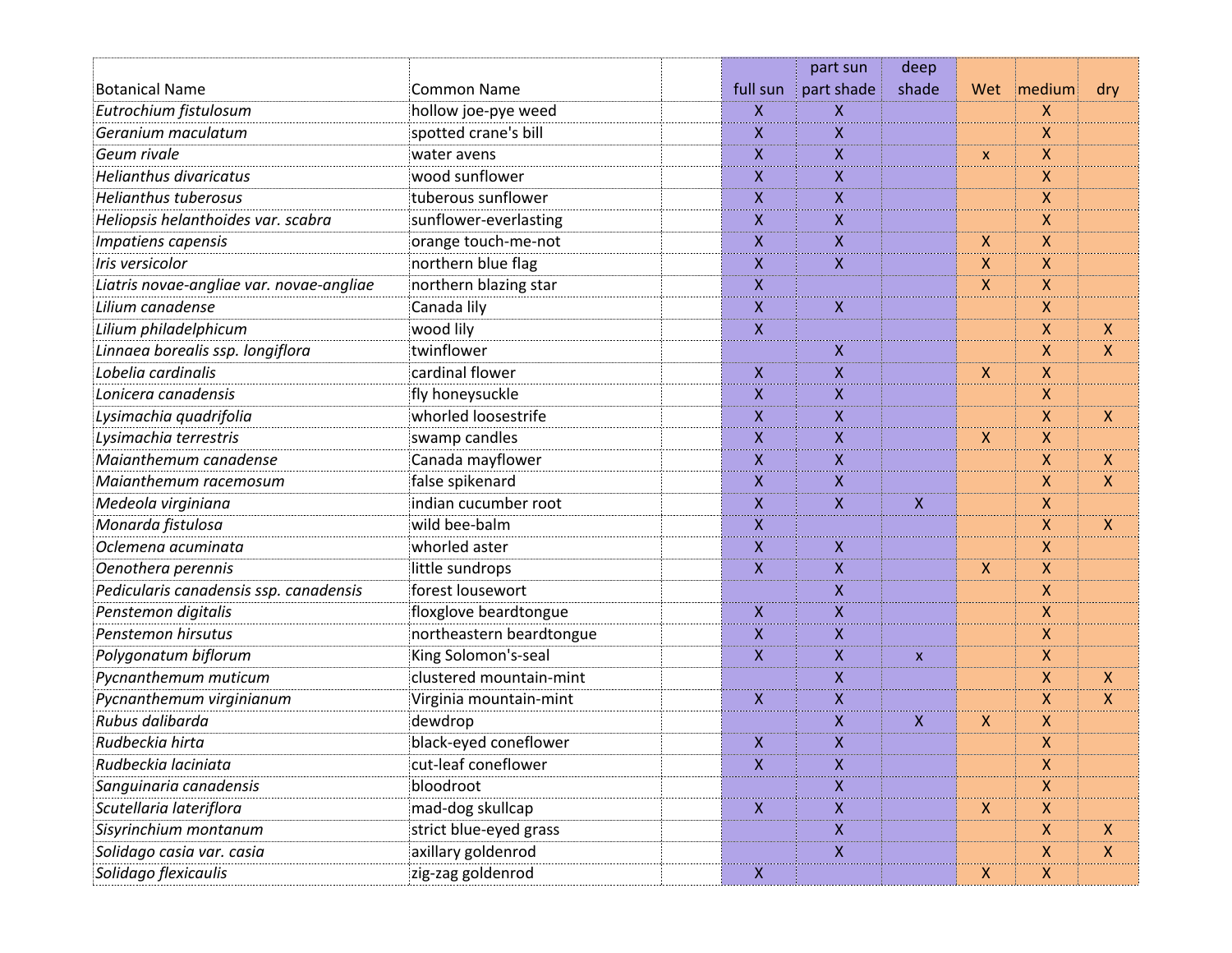|                                          |                          |                    | part sun           | deep  |                           |              |                           |
|------------------------------------------|--------------------------|--------------------|--------------------|-------|---------------------------|--------------|---------------------------|
| <b>Botanical Name</b>                    | <b>Common Name</b>       | full sun           | part shade         | shade | Wet                       | medium       | dry                       |
| Eutrochium fistulosum                    | hollow joe-pye weed      | X                  | X                  |       |                           | X            |                           |
| Geranium maculatum                       | spotted crane's bill     | X                  | X                  |       |                           | X            |                           |
| Geum rivale                              | water avens              | X                  | X                  |       | X                         | X            |                           |
| <b>Helianthus divaricatus</b>            | wood sunflower           | X                  | X                  |       |                           | X            |                           |
| <b>Helianthus tuberosus</b>              | tuberous sunflower       | X                  | X                  |       |                           | X            |                           |
| Heliopsis helanthoides var. scabra       | sunflower-everlasting    | X                  | X                  |       |                           | X            |                           |
| Impatiens capensis                       | orange touch-me-not      | X                  | X                  |       | $\mathsf{X}$              | X            |                           |
| Iris versicolor                          | northern blue flag       | $\pmb{\mathsf{X}}$ | X                  |       | X                         | X            |                           |
| Liatris novae-angliae var. novae-angliae | northern blazing star    | X                  |                    |       | X.                        | X            |                           |
| Lilium canadense                         | Canada lily              | X                  | X                  |       |                           | X            |                           |
| Lilium philadelphicum                    | wood lily                | $\pmb{\mathsf{X}}$ |                    |       |                           | X            | $\boldsymbol{\mathsf{X}}$ |
| Linnaea borealis ssp. longiflora         | twinflower               |                    | Χ                  |       |                           | X            | $\mathsf{X}$              |
| Lobelia cardinalis                       | cardinal flower          | X                  | $\pmb{\mathsf{X}}$ |       | $\mathsf{X}$              | X            |                           |
| Lonicera canadensis                      | fly honeysuckle          | $\pmb{\mathsf{X}}$ | X                  |       |                           | Χ            |                           |
| Lysimachia quadrifolia                   | whorled loosestrife      | X                  | X                  |       |                           | X            | $\boldsymbol{\mathsf{X}}$ |
| Lysimachia terrestris                    | swamp candles            | X                  | X                  |       | $\mathsf{X}$              | X            |                           |
| Maianthemum canadense                    | Canada mayflower         | X                  | X                  |       |                           | X            | $\boldsymbol{\mathsf{X}}$ |
| Maianthemum racemosum                    | false spikenard          | X                  | X                  |       |                           | X            | $\mathsf{X}$              |
| Medeola virginiana                       | indian cucumber root     | X                  | X                  | X     |                           | X            |                           |
| Monarda fistulosa                        | wild bee-balm            | $\pmb{\mathsf{X}}$ |                    |       |                           | X            | $\boldsymbol{\mathsf{X}}$ |
| Oclemena acuminata                       | whorled aster            | X                  | X                  |       |                           | X            |                           |
| Oenothera perennis                       | little sundrops          | X                  | $\pmb{\mathsf{X}}$ |       | $\mathsf{X}$              | X            |                           |
| Pedicularis canadensis ssp. canadensis   | forest lousewort         |                    | Χ                  |       |                           | X            |                           |
| Penstemon digitalis                      | floxglove beardtongue    | X                  | X                  |       |                           | X            |                           |
| Penstemon hirsutus                       | northeastern beardtongue | X                  | X                  |       |                           | X            |                           |
| Polygonatum biflorum                     | King Solomon's-seal      | X                  | X                  | X     |                           | X            |                           |
| Pycnanthemum muticum                     | clustered mountain-mint  |                    | X                  |       |                           | X            | X                         |
| Pycnanthemum virginianum                 | Virginia mountain-mint   | X                  | $\pmb{\mathsf{X}}$ |       |                           | X            | X                         |
| Rubus dalibarda                          | dewdrop                  |                    | X                  | X     | $\boldsymbol{\mathsf{X}}$ | X            |                           |
| Rudbeckia hirta                          | black-eyed coneflower    | X                  | X                  |       |                           | X            |                           |
| Rudbeckia laciniata                      | cut-leaf coneflower      | $\mathsf{X}$       | X                  |       |                           | X            |                           |
| Sanguinaria canadensis                   | bloodroot                |                    | X                  |       |                           | X            |                           |
| Scutellaria lateriflora                  | mad-dog skullcap         | X.                 | Χ                  |       | $\mathsf{X}$              | $\mathsf{X}$ |                           |
| Sisyrinchium montanum                    | strict blue-eyed grass   |                    | Χ                  |       |                           | $\mathsf X$  | $\boldsymbol{X}$          |
| Solidago casia var. casia                | axillary goldenrod       |                    | X                  |       |                           | $\mathsf{X}$ | $\boldsymbol{X}$          |
| Solidago flexicaulis                     | zig-zag goldenrod        | X.                 |                    |       | X                         | $\mathsf{X}$ |                           |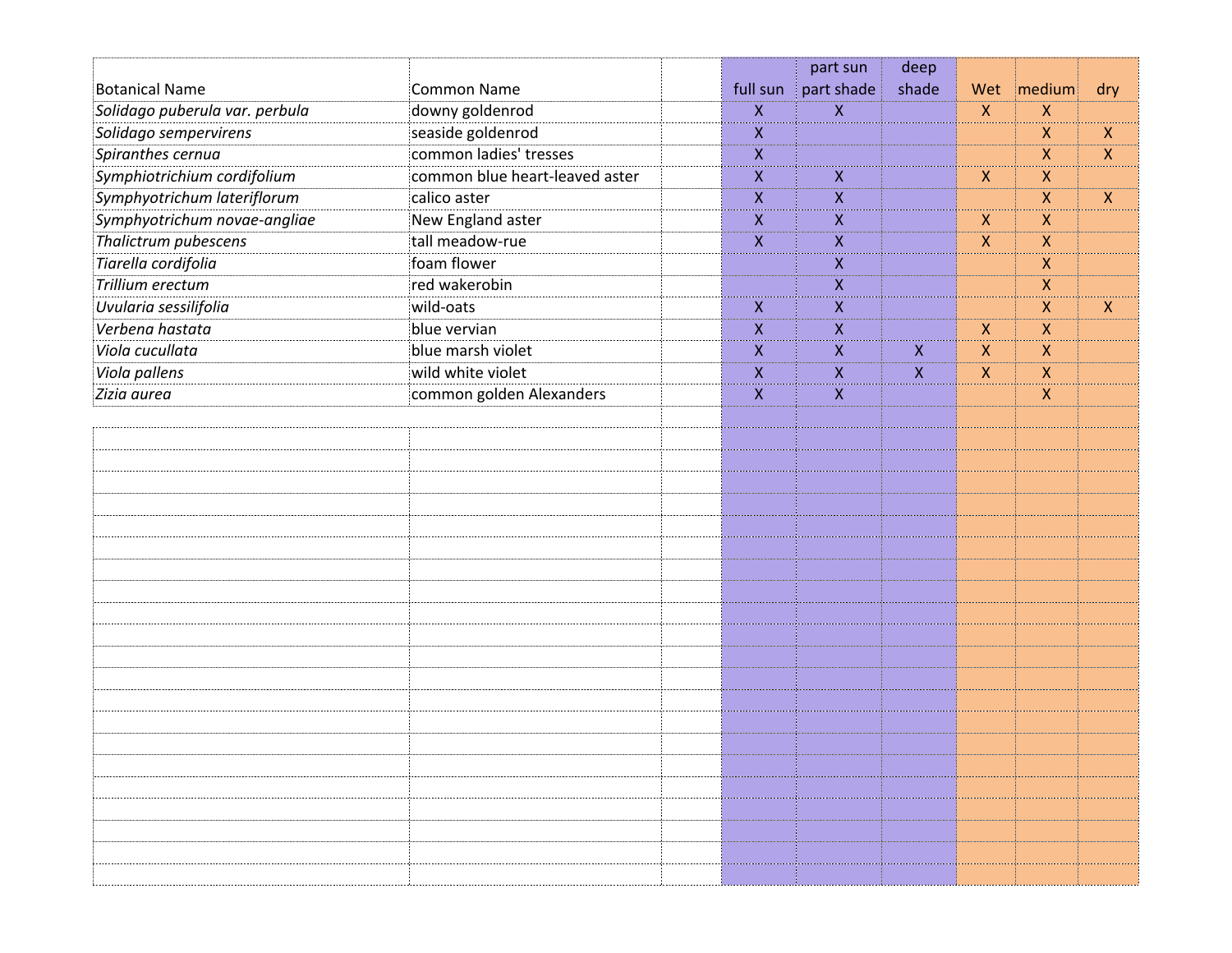|                                |                                |                    | part sun         | deep             |                  |                    |                  |
|--------------------------------|--------------------------------|--------------------|------------------|------------------|------------------|--------------------|------------------|
| <b>Botanical Name</b>          | <b>Common Name</b>             | full sun           | part shade       | shade            | Wet              | medium             | dry              |
| Solidago puberula var. perbula | downy goldenrod                | X                  | X                |                  | $\boldsymbol{X}$ | X                  |                  |
| Solidago sempervirens          | seaside goldenrod              | Χ                  |                  |                  |                  | $\mathsf{X}$       | $\boldsymbol{X}$ |
| Spiranthes cernua              | common ladies' tresses         | $\pmb{\mathsf{X}}$ |                  |                  |                  | $\mathsf{X}$       | $\boldsymbol{X}$ |
| Symphiotrichium cordifolium    | common blue heart-leaved aster | X                  | Χ                |                  | $\mathsf{X}$     | X                  |                  |
| Symphyotrichum lateriflorum    | calico aster                   | Χ                  | Χ                |                  |                  | $\mathsf{X}$       | $\boldsymbol{X}$ |
| Symphyotrichum novae-angliae   | New England aster              | $\pmb{\mathsf{X}}$ | Χ                |                  | $\mathsf{X}$     | $\boldsymbol{X}$   |                  |
| Thalictrum pubescens           | tall meadow-rue                | X                  | $\boldsymbol{X}$ |                  | $\mathsf{X}$     | X                  |                  |
| Tiarella cordifolia            | foam flower                    |                    | Χ                |                  |                  | $\pmb{\mathsf{X}}$ |                  |
| Trillium erectum               | red wakerobin                  |                    | X                |                  |                  | X                  |                  |
| Uvularia sessilifolia          | wild-oats                      | X                  | Χ                |                  |                  | X                  | $\boldsymbol{X}$ |
| Verbena hastata                | blue vervian                   | Χ                  | Χ                |                  | X                | $\mathsf{X}$       |                  |
| Viola cucullata                | blue marsh violet              | $\pmb{\mathsf{X}}$ | X                | $\mathsf{X}$     | X.               | $\boldsymbol{X}$   |                  |
| Viola pallens                  | wild white violet              | X                  | X                | $\boldsymbol{X}$ | $\pmb{\times}$   | X                  |                  |
| Zizia aurea                    | common golden Alexanders       | Χ                  | X                |                  |                  | $\mathsf{X}$       |                  |
|                                |                                |                    |                  |                  |                  |                    |                  |
|                                |                                |                    |                  |                  |                  |                    |                  |
|                                |                                |                    |                  |                  |                  |                    |                  |
|                                |                                |                    |                  |                  |                  |                    |                  |
|                                |                                |                    |                  |                  |                  |                    |                  |
|                                |                                |                    |                  |                  |                  |                    |                  |
|                                |                                |                    |                  |                  |                  |                    |                  |
|                                |                                |                    |                  |                  |                  |                    |                  |
|                                |                                |                    |                  |                  |                  |                    |                  |
|                                |                                |                    |                  |                  |                  |                    |                  |
|                                |                                |                    |                  |                  |                  |                    |                  |
|                                |                                |                    |                  |                  |                  |                    |                  |
|                                |                                |                    |                  |                  |                  |                    |                  |
|                                |                                |                    |                  |                  |                  |                    |                  |
|                                |                                |                    |                  |                  |                  |                    |                  |
|                                |                                |                    |                  |                  |                  |                    |                  |
|                                |                                |                    |                  |                  |                  |                    |                  |
|                                |                                |                    |                  |                  |                  |                    |                  |
|                                |                                |                    |                  |                  |                  |                    |                  |
|                                |                                |                    |                  |                  |                  |                    |                  |
|                                |                                |                    |                  |                  |                  |                    |                  |
|                                |                                |                    |                  |                  |                  |                    |                  |